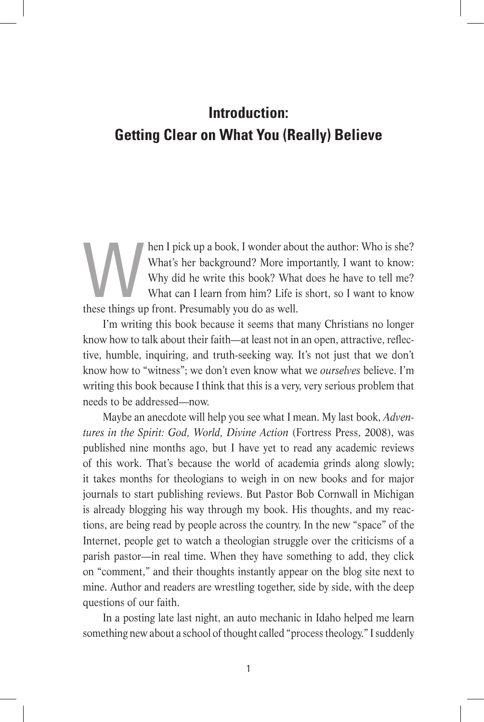## **Introduction: Getting Clear on What You (Really) Believe**

hen I pick up a book, I wonder about the author: Who is she?<br>What's her background? More importantly, I want to know:<br>Why did he write this book? What does he have to tell me?<br>What can I learn from him? Life is short, so I What's her background? More importantly, I want to know: Why did he write this book? What does he have to tell me? What can I learn from him? Life is short, so I want to know these things up front. Presumably you do as well.

I'm writing this book because it seems that many Christians no longer know how to talk about their faith—at least not in an open, attractive, reflective, humble, inquiring, and truth-seeking way. It's not just that we don't know how to "witness"; we don't even know what we *ourselves* believe. I'm writing this book because I think that this is a very, very serious problem that needs to be addressed—now.

Maybe an anecdote will help you see what I mean. My last book, *Adventures in the Spirit: God, World, Divine Action* (Fortress Press, 2008), was published nine months ago, but I have yet to read any academic reviews of this work. That's because the world of academia grinds along slowly; it takes months for theologians to weigh in on new books and for major journals to start publishing reviews. But Pastor Bob Cornwall in Michigan is already blogging his way through my book. His thoughts, and my reactions, are being read by people across the country. In the new "space" of the Internet, people get to watch a theologian struggle over the criticisms of a parish pastor—in real time. When they have something to add, they click on "comment," and their thoughts instantly appear on the blog site next to mine. Author and readers are wrestling together, side by side, with the deep questions of our faith.

In a posting late last night, an auto mechanic in Idaho helped me learn something new about a school of thought called "process theology." I suddenly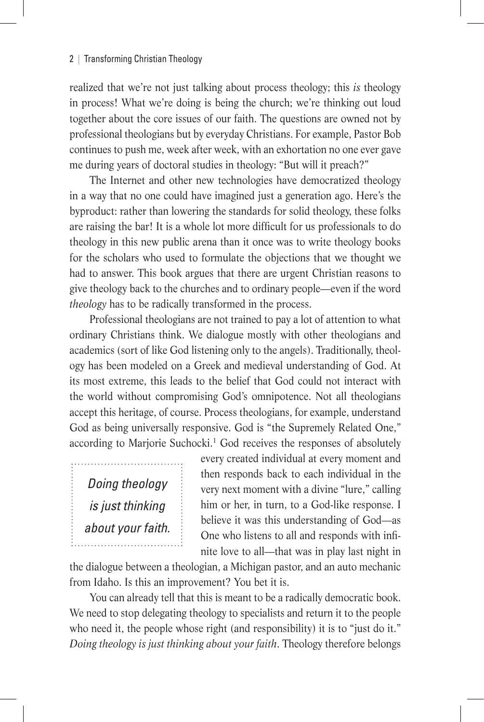realized that we're not just talking about process theology; this *is* theology in process! What we're doing is being the church; we're thinking out loud together about the core issues of our faith. The questions are owned not by professional theologians but by everyday Christians. For example, Pastor Bob continues to push me, week after week, with an exhortation no one ever gave me during years of doctoral studies in theology: "But will it preach?"

The Internet and other new technologies have democratized theology in a way that no one could have imagined just a generation ago. Here's the byproduct: rather than lowering the standards for solid theology, these folks are raising the bar! It is a whole lot more difficult for us professionals to do theology in this new public arena than it once was to write theology books for the scholars who used to formulate the objections that we thought we had to answer. This book argues that there are urgent Christian reasons to give theology back to the churches and to ordinary people—even if the word *theology* has to be radically transformed in the process.

Professional theologians are not trained to pay a lot of attention to what ordinary Christians think. We dialogue mostly with other theologians and academics (sort of like God listening only to the angels). Traditionally, theology has been modeled on a Greek and medieval understanding of God. At its most extreme, this leads to the belief that God could not interact with the world without compromising God's omnipotence. Not all theologians accept this heritage, of course. Process theologians, for example, understand God as being universally responsive. God is "the Supremely Related One," according to Marjorie Suchocki.<sup>1</sup> God receives the responses of absolutely

*Doing theology is just thinking about your faith.* every created individual at every moment and then responds back to each individual in the very next moment with a divine "lure," calling him or her, in turn, to a God-like response. I believe it was this understanding of God—as One who listens to all and responds with infinite love to all—that was in play last night in

the dialogue between a theologian, a Michigan pastor, and an auto mechanic from Idaho. Is this an improvement? You bet it is.

You can already tell that this is meant to be a radically democratic book. We need to stop delegating theology to specialists and return it to the people who need it, the people whose right (and responsibility) it is to "just do it." *Doing theology is just thinking about your faith*. Theology therefore belongs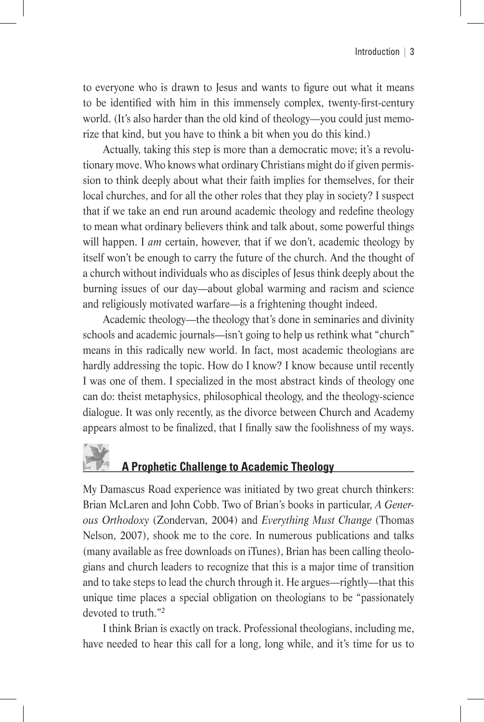to everyone who is drawn to Jesus and wants to figure out what it means to be identified with him in this immensely complex, twenty-first-century world. (It's also harder than the old kind of theology—you could just memorize that kind, but you have to think a bit when you do this kind.)

Actually, taking this step is more than a democratic move; it's a revolutionary move. Who knows what ordinary Christians might do if given permission to think deeply about what their faith implies for themselves, for their local churches, and for all the other roles that they play in society? I suspect that if we take an end run around academic theology and redefine theology to mean what ordinary believers think and talk about, some powerful things will happen. I *am* certain, however, that if we don't, academic theology by itself won't be enough to carry the future of the church. And the thought of a church without individuals who as disciples of Jesus think deeply about the burning issues of our day—about global warming and racism and science and religiously motivated warfare—is a frightening thought indeed.

Academic theology—the theology that's done in seminaries and divinity schools and academic journals—isn't going to help us rethink what "church" means in this radically new world. In fact, most academic theologians are hardly addressing the topic. How do I know? I know because until recently I was one of them. I specialized in the most abstract kinds of theology one can do: theist metaphysics, philosophical theology, and the theology-science dialogue. It was only recently, as the divorce between Church and Academy appears almost to be finalized, that I finally saw the foolishness of my ways.

## **A Prophetic Challenge to Academic Theology**

My Damascus Road experience was initiated by two great church thinkers: Brian McLaren and John Cobb. Two of Brian's books in particular, *A Generous Orthodoxy* (Zondervan, 2004) and *Everything Must Change* (Thomas Nelson, 2007), shook me to the core. In numerous publications and talks (many available as free downloads on iTunes), Brian has been calling theologians and church leaders to recognize that this is a major time of transition and to take steps to lead the church through it. He argues—rightly—that this unique time places a special obligation on theologians to be "passionately devoted to truth."2

I think Brian is exactly on track. Professional theologians, including me, have needed to hear this call for a long, long while, and it's time for us to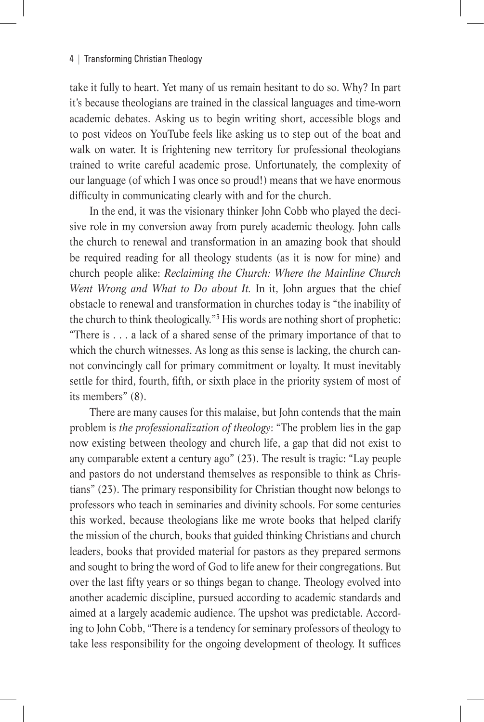take it fully to heart. Yet many of us remain hesitant to do so. Why? In part it's because theologians are trained in the classical languages and time-worn academic debates. Asking us to begin writing short, accessible blogs and to post videos on YouTube feels like asking us to step out of the boat and walk on water. It is frightening new territory for professional theologians trained to write careful academic prose. Unfortunately, the complexity of our language (of which I was once so proud!) means that we have enormous difficulty in communicating clearly with and for the church.

In the end, it was the visionary thinker John Cobb who played the decisive role in my conversion away from purely academic theology. John calls the church to renewal and transformation in an amazing book that should be required reading for all theology students (as it is now for mine) and church people alike: *Reclaiming the Church: Where the Mainline Church Went Wrong and What to Do about It.* In it, John argues that the chief obstacle to renewal and transformation in churches today is "the inability of the church to think theologically."3 His words are nothing short of prophetic: "There is . . . a lack of a shared sense of the primary importance of that to which the church witnesses. As long as this sense is lacking, the church cannot convincingly call for primary commitment or loyalty. It must inevitably settle for third, fourth, fifth, or sixth place in the priority system of most of its members" (8).

There are many causes for this malaise, but John contends that the main problem is *the professionalization of theology*: "The problem lies in the gap now existing between theology and church life, a gap that did not exist to any comparable extent a century ago" (23). The result is tragic: "Lay people and pastors do not understand themselves as responsible to think as Christians" (23). The primary responsibility for Christian thought now belongs to professors who teach in seminaries and divinity schools. For some centuries this worked, because theologians like me wrote books that helped clarify the mission of the church, books that guided thinking Christians and church leaders, books that provided material for pastors as they prepared sermons and sought to bring the word of God to life anew for their congregations. But over the last fifty years or so things began to change. Theology evolved into another academic discipline, pursued according to academic standards and aimed at a largely academic audience. The upshot was predictable. According to John Cobb, "There is a tendency for seminary professors of theology to take less responsibility for the ongoing development of theology. It suffices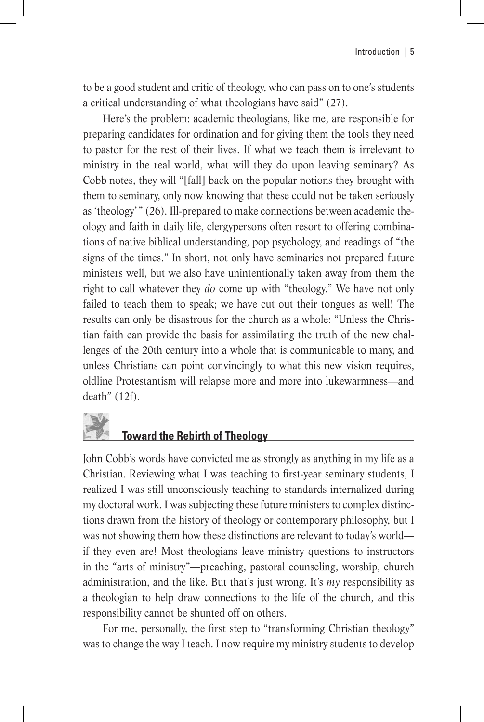to be a good student and critic of theology, who can pass on to one's students a critical understanding of what theologians have said" (27).

Here's the problem: academic theologians, like me, are responsible for preparing candidates for ordination and for giving them the tools they need to pastor for the rest of their lives. If what we teach them is irrelevant to ministry in the real world, what will they do upon leaving seminary? As Cobb notes, they will "[fall] back on the popular notions they brought with them to seminary, only now knowing that these could not be taken seriously as 'theology' " (26). Ill-prepared to make connections between academic theology and faith in daily life, clergypersons often resort to offering combinations of native biblical understanding, pop psychology, and readings of "the signs of the times." In short, not only have seminaries not prepared future ministers well, but we also have unintentionally taken away from them the right to call whatever they *do* come up with "theology." We have not only failed to teach them to speak; we have cut out their tongues as well! The results can only be disastrous for the church as a whole: "Unless the Christian faith can provide the basis for assimilating the truth of the new challenges of the 20th century into a whole that is communicable to many, and unless Christians can point convincingly to what this new vision requires, oldline Protestantism will relapse more and more into lukewarmness—and death" (12f).

## **Toward the Rebirth of Theology**

John Cobb's words have convicted me as strongly as anything in my life as a Christian. Reviewing what I was teaching to first-year seminary students, I realized I was still unconsciously teaching to standards internalized during my doctoral work. I was subjecting these future ministers to complex distinctions drawn from the history of theology or contemporary philosophy, but I was not showing them how these distinctions are relevant to today's world if they even are! Most theologians leave ministry questions to instructors in the "arts of ministry"—preaching, pastoral counseling, worship, church administration, and the like. But that's just wrong. It's *my* responsibility as a theologian to help draw connections to the life of the church, and this responsibility cannot be shunted off on others.

For me, personally, the first step to "transforming Christian theology" was to change the way I teach. I now require my ministry students to develop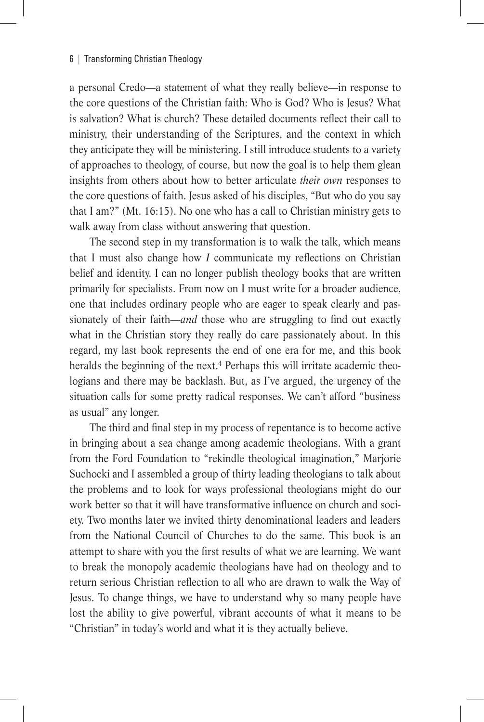a personal Credo—a statement of what they really believe—in response to the core questions of the Christian faith: Who is God? Who is Jesus? What is salvation? What is church? These detailed documents reflect their call to ministry, their understanding of the Scriptures, and the context in which they anticipate they will be ministering. I still introduce students to a variety of approaches to theology, of course, but now the goal is to help them glean insights from others about how to better articulate *their own* responses to the core questions of faith. Jesus asked of his disciples, "But who do you say that I am?" (Mt. 16:15). No one who has a call to Christian ministry gets to walk away from class without answering that question.

The second step in my transformation is to walk the talk, which means that I must also change how *I* communicate my reflections on Christian belief and identity. I can no longer publish theology books that are written primarily for specialists. From now on I must write for a broader audience, one that includes ordinary people who are eager to speak clearly and passionately of their faith—*and* those who are struggling to find out exactly what in the Christian story they really do care passionately about. In this regard, my last book represents the end of one era for me, and this book heralds the beginning of the next.<sup>4</sup> Perhaps this will irritate academic theologians and there may be backlash. But, as I've argued, the urgency of the situation calls for some pretty radical responses. We can't afford "business as usual" any longer.

The third and final step in my process of repentance is to become active in bringing about a sea change among academic theologians. With a grant from the Ford Foundation to "rekindle theological imagination," Marjorie Suchocki and I assembled a group of thirty leading theologians to talk about the problems and to look for ways professional theologians might do our work better so that it will have transformative influence on church and society. Two months later we invited thirty denominational leaders and leaders from the National Council of Churches to do the same. This book is an attempt to share with you the first results of what we are learning. We want to break the monopoly academic theologians have had on theology and to return serious Christian reflection to all who are drawn to walk the Way of Jesus. To change things, we have to understand why so many people have lost the ability to give powerful, vibrant accounts of what it means to be "Christian" in today's world and what it is they actually believe.